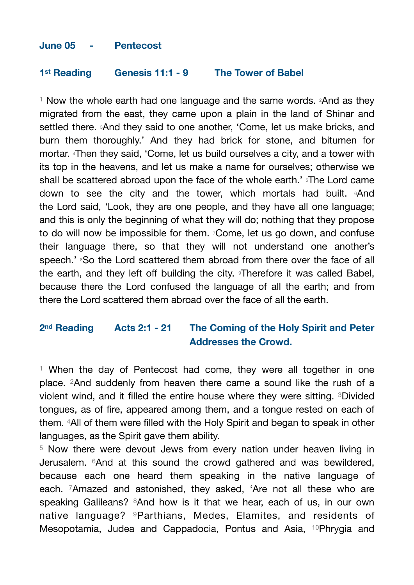## **June 05 - Pentecost**

## **1st Reading Genesis 11:1 - 9 The Tower of Babel**

<sup>1</sup> Now the whole earth had one language and the same words.  $2$ And as they migrated from the east, they came upon a plain in the land of Shinar and settled there. 3And they said to one another, 'Come, let us make bricks, and burn them thoroughly.' And they had brick for stone, and bitumen for mortar. 4Then they said, 'Come, let us build ourselves a city, and a tower with its top in the heavens, and let us make a name for ourselves; otherwise we shall be scattered abroad upon the face of the whole earth.' <sup>5</sup>The Lord came down to see the city and the tower, which mortals had built. 6And the Lord said, 'Look, they are one people, and they have all one language; and this is only the beginning of what they will do; nothing that they propose to do will now be impossible for them. 7Come, let us go down, and confuse their language there, so that they will not understand one another's speech.' <sup>8</sup>So the Lord scattered them abroad from there over the face of all the earth, and they left off building the city. 9Therefore it was called Babel, because there the Lord confused the language of all the earth; and from there the Lord scattered them abroad over the face of all the earth.

## **2nd Reading Acts 2:1 - 21 The Coming of the Holy Spirit and Peter Addresses the Crowd.**

 $1$  When the day of Pentecost had come, they were all together in one place. 2And suddenly from heaven there came a sound like the rush of a violent wind, and it filled the entire house where they were sitting. 3Divided tongues, as of fire, appeared among them, and a tongue rested on each of them. 4All of them were filled with the Holy Spirit and began to speak in other languages, as the Spirit gave them ability.

<sup>5</sup> Now there were devout Jews from every nation under heaven living in Jerusalem. 6And at this sound the crowd gathered and was bewildered, because each one heard them speaking in the native language of each. 7Amazed and astonished, they asked, 'Are not all these who are speaking Galileans? <sup>8</sup>And how is it that we hear, each of us, in our own native language? 9Parthians, Medes, Elamites, and residents of Mesopotamia, Judea and Cappadocia, Pontus and Asia, 10Phrygia and